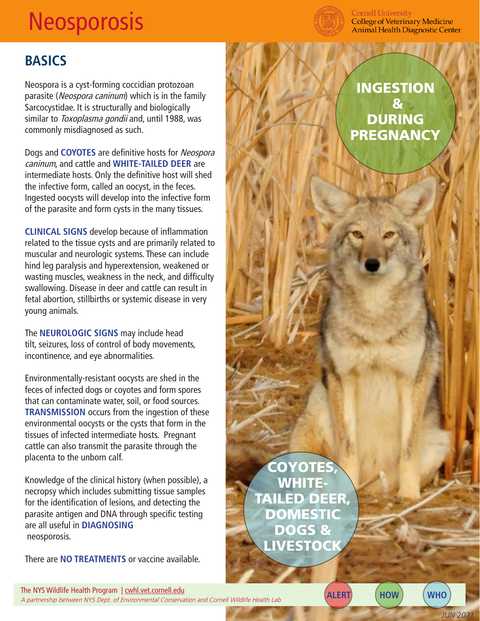## **Neosporosis**



**Cornell University College of Veterinary Medicine Animal Health Diagnostic Center** 

## **BASICS**

Neospora is a cyst-forming coccidian protozoan parasite (Neospora caninum) which is in the family Sarcocystidae. It is structurally and biologically similar to Toxoplasma gondii and, until 1988, was commonly misdiagnosed as such.

Dogs and **COYOTES** are definitive hosts for Neospora caninum, and cattle and **WHITE-TAILED DEER** are intermediate hosts. Only the definitive host will shed the infective form, called an oocyst, in the feces. Ingested oocysts will develop into the infective form of the parasite and form cysts in the many tissues.

**CLINICAL SIGNS** develop because of inflammation related to the tissue cysts and are primarily related to muscular and neurologic systems. These can include hind leg paralysis and hyperextension, weakened or wasting muscles, weakness in the neck, and difficulty swallowing. Disease in deer and cattle can result in fetal abortion, stillbirths or systemic disease in very young animals.

The **NEUROLOGIC SIGNS** may include head tilt, seizures, loss of control of body movements, incontinence, and eye abnormalities.

Environmentally-resistant oocysts are shed in the feces of infected dogs or coyotes and form spores that can contaminate water, soil, or food sources. **TRANSMISSION** occurs from the ingestion of these environmental oocysts or the cysts that form in the tissues of infected intermediate hosts. Pregnant cattle can also transmit the parasite through the placenta to the unborn calf.

Knowledge of the clinical history (when possible), a necropsy which includes submitting tissue samples for the identification of lesions, and detecting the parasite antigen and DNA through specific testing are all useful in **DIAGNOSING** neosporosis.

There are **NO TREATMENTS** or vaccine available.

INGESTION & DURING PREGNANCY

COYOTES, WHITE-TAILED DEER, **DOMESTIC** DOGS & LIVESTOCK

The NYS Wildlife Health Program | cwhl.vet.cornell.edu Ine NYS Wildlife Health Program | <u>Cwni.vet.cometi.edu</u><br>A partnership between NYS Dept. of Environmental Conservation and Cornell Wildlife Health Lab **ALERT** (HOW) (WHO

*JUN 2021*